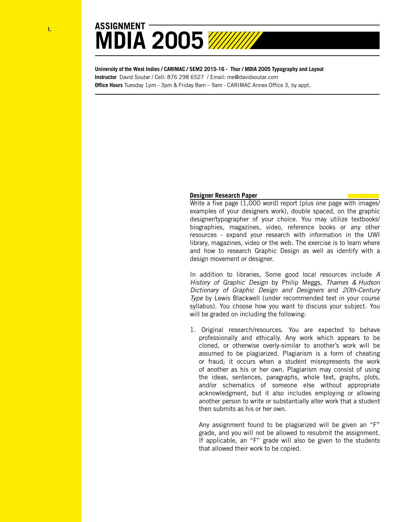



**University of the West Indies / CARIMAC / SEM2 2015-16 - Thur / MDIA 2005 Typography and Layout Instructor** David Soutar / Cell: 876 298 6527 / Email: me@davidsoutar.com **Office Hours** Tuesday 1pm - 3pm & Friday 8am – 9am - CARIMAC Annex Office 3, by appt.

## **Designer Research Paper**

Write a five page (1,000 word) report (plus one page with images/ examples of your designers work), double spaced, on the graphic designer/typographer of your choice. You may utilize textbooks/ biographies, magazines, video, reference books or any other resources - expand your research with information in the UWI library, magazines, video or the web. The exercise is to learn where and how to research Graphic Design as well as identify with a design movement or designer.

In addition to libraries, Some good local resources include *A History of Graphic Design* by Philip Meggs, *Thames & Hudson Dictionary of Graphic Design and Designers* and *20th-Century Type* by Lewis Blackwell (under recommended text in your course syllabus). You choose how you want to discuss your subject. You will be graded on including the following:

1. Original research/resources. You are expected to behave professionally and ethically. Any work which appears to be cloned, or otherwise overly-similar to another's work will be assumed to be plagiarized. Plagiarism is a form of cheating or fraud; it occurs when a student misrepresents the work of another as his or her own. Plagiarism may consist of using the ideas, sentences, paragraphs, whole text, graphs, plots, and/or schematics of someone else without appropriate acknowledgment, but it also includes employing or allowing another person to write or substantially alter work that a student then submits as his or her own.

Any assignment found to be plagiarized will be given an "F" grade, and you will not be allowed to resubmit the assignment. If applicable, an "F" grade will also be given to the students that allowed their work to be copied.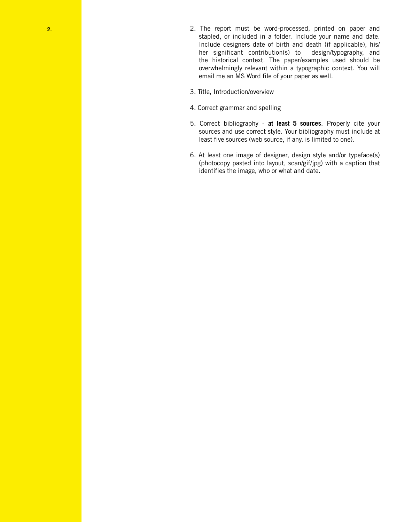- **2.** 2. The report must be word-processed, printed on paper and stapled, or included in a folder. Include your name and date. Include designers date of birth and death (if applicable), his/ her significant contribution(s) to design/typography, and the historical context. The paper/examples used should be overwhelmingly relevant within a typographic context. You will email me an MS Word file of your paper as well.
	- 3. Title, Introduction/overview
	- 4. Correct grammar and spelling
	- 5. Correct bibliography **at least 5 sources**. Properly cite your sources and use correct style. Your bibliography must include at least five sources (web source, if any, is limited to one).
	- 6. At least one image of designer, design style and/or typeface(s) (photocopy pasted into layout, scan/gif/jpg) with a caption that identifies the image, who or what and date.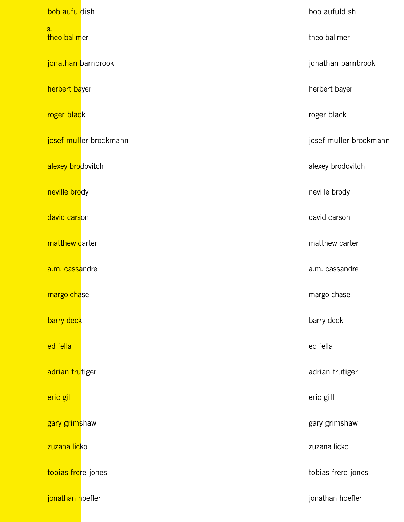| bob aufuldish                  | bob aufuldish          |
|--------------------------------|------------------------|
| 3 <sub>1</sub><br>theo ballmer | theo ballmer           |
| jonathan barnbrook             | jonathan barnbrook     |
| herbert bayer                  | herbert bayer          |
| roger black                    | roger black            |
| josef muller-brockmann         | josef muller-brockmann |
| alexey brodovitch              | alexey brodovitch      |
| neville brody                  | neville brody          |
| david carson                   | david carson           |
| matthew carter                 | matthew carter         |
| a.m. cassandre                 | a.m. cassandre         |
| margo chase                    | margo chase            |
| barry deck                     | barry deck             |
| ed fella                       | ed fella               |
| adrian frutiger                | adrian frutiger        |
| eric gill                      | eric gill              |
| gary grimshaw                  | gary grimshaw          |
| zuzana licko                   | zuzana licko           |
| tobias frere-jones             | tobias frere-jones     |
| jonathan hoefler               | jonathan hoefler       |